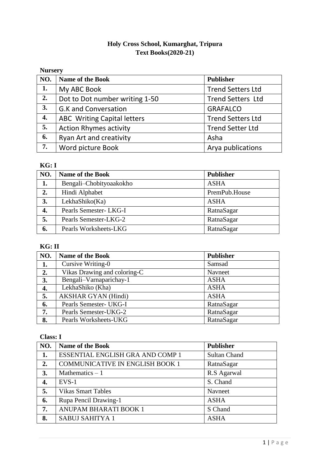### **Holy Cross School, Kumarghat, Tripura Text Books(2020-21)**

### **Nursery**

| NO. | <b>Name of the Book</b>            | <b>Publisher</b>         |
|-----|------------------------------------|--------------------------|
| 1.  | My ABC Book                        | <b>Trend Setters Ltd</b> |
| 2.  | Dot to Dot number writing 1-50     | <b>Trend Setters Ltd</b> |
| 3.  | <b>G.K and Conversation</b>        | <b>GRAFALCO</b>          |
| 4.  | <b>ABC</b> Writing Capital letters | <b>Trend Setters Ltd</b> |
| 5.  | <b>Action Rhymes activity</b>      | <b>Trend Setter Ltd</b>  |
| 6.  | <b>Ryan Art and creativity</b>     | Asha                     |
| 7.  | Word picture Book                  | Arya publications        |

#### **KG: I**

| NO. | <b>Name of the Book</b> | <b>Publisher</b> |
|-----|-------------------------|------------------|
| 1.  | Bengali-Chobityoaakokho | <b>ASHA</b>      |
| 2.  | Hindi Alphabet          | PremPub.House    |
| 3.  | LekhaShiko(Ka)          | <b>ASHA</b>      |
| 4.  | Pearls Semester- LKG-I  | RatnaSagar       |
| 5.  | Pearls Semester-LKG-2   | RatnaSagar       |
| 6.  | Pearls Worksheets-LKG   | RatnaSagar       |

## **KG: II**

| NO. | <b>Name of the Book</b>      | <b>Publisher</b> |
|-----|------------------------------|------------------|
| 1.  | Cursive Writing-0            | Samsad           |
| 2.  | Vikas Drawing and coloring-C | Navneet          |
| 3.  | Bengali-Varnaparichay-1      | <b>ASHA</b>      |
| 4.  | LekhaShiko (Kha)             | <b>ASHA</b>      |
| 5.  | <b>AKSHAR GYAN (Hindi)</b>   | <b>ASHA</b>      |
| 6.  | Pearls Semester- UKG-I       | RatnaSagar       |
| 7.  | Pearls Semester-UKG-2        | RatnaSagar       |
| 8.  | Pearls Worksheets-UKG        | RatnaSagar       |

### **Class: I**

| NO. | <b>Name of the Book</b>                 | <b>Publisher</b>    |
|-----|-----------------------------------------|---------------------|
| 1.  | <b>ESSENTIAL ENGLISH GRA AND COMP 1</b> | <b>Sultan Chand</b> |
| 2.  | <b>COMMUNICATIVE IN ENGLISH BOOK 1</b>  | RatnaSagar          |
| 3.  | Mathematics $-1$                        | R.S Agarwal         |
| 4.  | $EVS-1$                                 | S. Chand            |
| 5.  | <b>Vikas Smart Tables</b>               | Navneet             |
| 6.  | Rupa Pencil Drawing-1                   | <b>ASHA</b>         |
| 7.  | ANUPAM BHARATI BOOK 1                   | S Chand             |
| 8.  | <b>SABUJ SAHITYA 1</b>                  | <b>ASHA</b>         |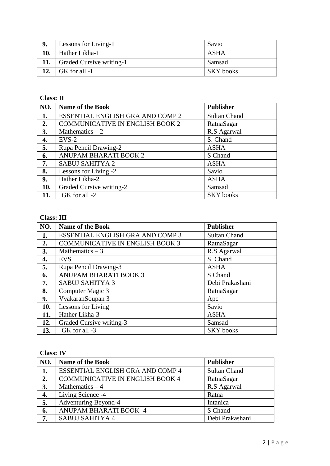|     | <b>Lessons for Living-1</b>    | Savio            |
|-----|--------------------------------|------------------|
| 10. | Hather Likha-1                 | ASHA             |
|     | 11.   Graded Cursive writing-1 | Samsad           |
|     | $\mid$ GK for all -1           | <b>SKY</b> books |

### **Class: II**

| NO. | <b>Name of the Book</b>                 | <b>Publisher</b>    |
|-----|-----------------------------------------|---------------------|
| 1.  | <b>ESSENTIAL ENGLISH GRA AND COMP 2</b> | <b>Sultan Chand</b> |
| 2.  | <b>COMMUNICATIVE IN ENGLISH BOOK 2</b>  | RatnaSagar          |
| 3.  | Mathematics $-2$                        | R.S Agarwal         |
| 4.  | $EVS-2$                                 | S. Chand            |
| 5.  | Rupa Pencil Drawing-2                   | <b>ASHA</b>         |
| 6.  | ANUPAM BHARATI BOOK 2                   | S Chand             |
| 7.  | <b>SABUJ SAHITYA 2</b>                  | <b>ASHA</b>         |
| 8.  | Lessons for Living -2                   | Savio               |
| 9.  | Hather Likha-2                          | <b>ASHA</b>         |
| 10. | Graded Cursive writing-2                | Samsad              |
|     | GK for all -2                           | <b>SKY</b> books    |

# **Class: III**

| NO. | <b>Name of the Book</b>                | <b>Publisher</b>    |
|-----|----------------------------------------|---------------------|
| 1.  | ESSENTIAL ENGLISH GRA AND COMP 3       | <b>Sultan Chand</b> |
| 2.  | <b>COMMUNICATIVE IN ENGLISH BOOK 3</b> | RatnaSagar          |
| 3.  | Mathematics $-3$                       | R.S Agarwal         |
| 4.  | <b>EVS</b>                             | S. Chand            |
| 5.  | Rupa Pencil Drawing-3                  | <b>ASHA</b>         |
| 6.  | ANUPAM BHARATI BOOK 3                  | S Chand             |
| 7.  | <b>SABUJ SAHITYA 3</b>                 | Debi Prakashani     |
| 8.  | Computer Magic 3                       | RatnaSagar          |
| 9.  | VyakaranSoupan 3                       | Apc                 |
| 10. | Lessons for Living                     | Savio               |
| 11. | Hather Likha-3                         | <b>ASHA</b>         |
| 12. | Graded Cursive writing-3               | Samsad              |
| 13. | GK for all -3                          | <b>SKY</b> books    |

### **Class: IV**

| NO. | Name of the Book                 | <b>Publisher</b>    |
|-----|----------------------------------|---------------------|
| 1.  | ESSENTIAL ENGLISH GRA AND COMP 4 | <b>Sultan Chand</b> |
| 2.  | COMMUNICATIVE IN ENGLISH BOOK 4  | RatnaSagar          |
| 3.  | Mathematics $-4$                 | R.S Agarwal         |
| 4.  | Living Science -4                | Ratna               |
| 5.  | <b>Adventuring Beyond-4</b>      | Intanica            |
| 6.  | ANUPAM BHARATI BOOK-4            | S Chand             |
| 7.  | SABUJ SAHITYA 4                  | Debi Prakashani     |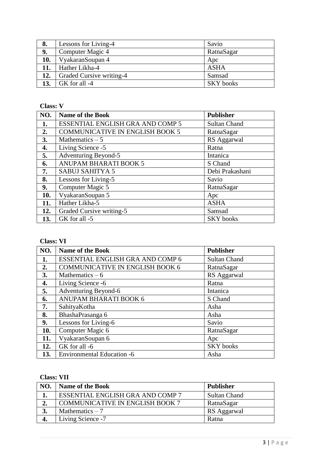| 8.  | Lessons for Living-4     | Savio            |
|-----|--------------------------|------------------|
| 9.  | Computer Magic 4         | RatnaSagar       |
| 10. | VyakaranSoupan 4         | Apc              |
| 11. | Hather Likha-4           | <b>ASHA</b>      |
| 12. | Graded Cursive writing-4 | Samsad           |
| 13. | GK for all -4            | <b>SKY</b> books |

#### **Class: V**

| NO. | <b>Name of the Book</b>                 | <b>Publisher</b>    |
|-----|-----------------------------------------|---------------------|
| 1.  | <b>ESSENTIAL ENGLISH GRA AND COMP 5</b> | <b>Sultan Chand</b> |
| 2.  | <b>COMMUNICATIVE IN ENGLISH BOOK 5</b>  | RatnaSagar          |
| 3.  | Mathematics $-5$                        | RS Aggarwal         |
| 4.  | Living Science -5                       | Ratna               |
| 5.  | <b>Adventuring Beyond-5</b>             | Intanica            |
| 6.  | <b>ANUPAM BHARATI BOOK 5</b>            | S Chand             |
| 7.  | <b>SABUJ SAHITYA 5</b>                  | Debi Prakashani     |
| 8.  | Lessons for Living-5                    | Savio               |
| 9.  | Computer Magic 5                        | RatnaSagar          |
| 10. | VyakaranSoupan 5                        | Apc                 |
| 11. | Hather Likha-5                          | <b>ASHA</b>         |
| 12. | Graded Cursive writing-5                | Samsad              |
| 13. | GK for all -5                           | <b>SKY</b> books    |

# **Class: VI**

| NO. | <b>Name of the Book</b>                | <b>Publisher</b>    |
|-----|----------------------------------------|---------------------|
| 1.  | ESSENTIAL ENGLISH GRA AND COMP 6       | <b>Sultan Chand</b> |
| 2.  | <b>COMMUNICATIVE IN ENGLISH BOOK 6</b> | RatnaSagar          |
| 3.  | Mathematics $-6$                       | RS Aggarwal         |
| 4.  | Living Science -6                      | Ratna               |
| 5.  | <b>Adventuring Beyond-6</b>            | Intanica            |
| 6.  | ANUPAM BHARATI BOOK 6                  | S Chand             |
| 7.  | SahityaKotha                           | Asha                |
| 8.  | BhashaPrasanga 6                       | Asha                |
| 9.  | Lessons for Living-6                   | Savio               |
| 10. | Computer Magic 6                       | RatnaSagar          |
| 11. | VyakaranSoupan 6                       | Apc                 |
| 12. | GK for all -6                          | <b>SKY</b> books    |
| 13. | <b>Environmental Education -6</b>      | Asha                |

### **Class: VII**

| NO. | <b>Name of the Book</b>                | <b>Publisher</b>    |
|-----|----------------------------------------|---------------------|
| ı.  | ESSENTIAL ENGLISH GRA AND COMP 7       | <b>Sultan Chand</b> |
| 2.  | <b>COMMUNICATIVE IN ENGLISH BOOK 7</b> | RatnaSagar          |
| 3.  | Mathematics $-7$                       | RS Aggarwal         |
| 4.  | Living Science -7                      | Ratna               |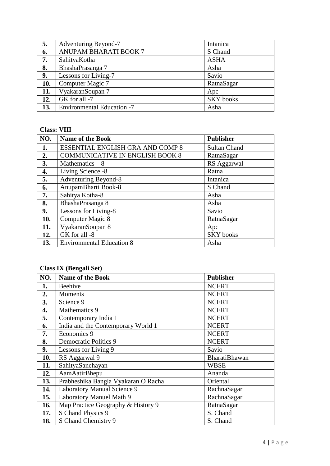| 5.  | <b>Adventuring Beyond-7</b>       | Intanica         |
|-----|-----------------------------------|------------------|
| 6.  | <b>ANUPAM BHARATI BOOK 7</b>      | S Chand          |
| 7.  | SahityaKotha                      | <b>ASHA</b>      |
| 8.  | BhashaPrasanga 7                  | Asha             |
| 9.  | Lessons for Living-7              | Savio            |
| 10. | Computer Magic 7                  | RatnaSagar       |
| 11. | VyakaranSoupan 7                  | Apc              |
| 12. | GK for all -7                     | <b>SKY</b> books |
| 13. | <b>Environmental Education -7</b> | Asha             |

#### **Class: VIII**

| NO. | <b>Name of the Book</b>                | <b>Publisher</b>    |
|-----|----------------------------------------|---------------------|
| 1.  | ESSENTIAL ENGLISH GRA AND COMP 8       | <b>Sultan Chand</b> |
| 2.  | <b>COMMUNICATIVE IN ENGLISH BOOK 8</b> | RatnaSagar          |
| 3.  | Mathematics $-8$                       | RS Aggarwal         |
| 4.  | Living Science -8                      | Ratna               |
| 5.  | <b>Adventuring Beyond-8</b>            | Intanica            |
| 6.  | AnupamBharti Book-8                    | S Chand             |
| 7.  | Sahitya Kotha-8                        | Asha                |
| 8.  | BhashaPrasanga 8                       | Asha                |
| 9.  | Lessons for Living-8                   | Savio               |
| 10. | Computer Magic 8                       | RatnaSagar          |
| 11. | VyakaranSoupan 8                       | Apc                 |
| 12. | GK for all -8                          | <b>SKY</b> books    |
| 13. | <b>Environmental Education 8</b>       | Asha                |

# **Class IX (Bengali Set)**

| NO. | <b>Name of the Book</b>             | <b>Publisher</b>     |
|-----|-------------------------------------|----------------------|
| 1.  | Beehive                             | <b>NCERT</b>         |
| 2.  | Moments                             | <b>NCERT</b>         |
| 3.  | Science 9                           | <b>NCERT</b>         |
| 4.  | Mathematics 9                       | <b>NCERT</b>         |
| 5.  | Contemporary India 1                | <b>NCERT</b>         |
| 6.  | India and the Contemporary World 1  | <b>NCERT</b>         |
| 7.  | Economics 9                         | <b>NCERT</b>         |
| 8.  | <b>Democratic Politics 9</b>        | <b>NCERT</b>         |
| 9.  | Lessons for Living 9                | Savio                |
| 10. | RS Aggarwal 9                       | <b>BharatiBhawan</b> |
| 11. | SahityaSanchayan                    | <b>WBSE</b>          |
| 12. | AamAatirBhepu                       | Ananda               |
| 13. | Prabheshika Bangla Vyakaran O Racha | Oriental             |
| 14. | <b>Laboratory Manual Science 9</b>  | RachnaSagar          |
| 15. | Laboratory Manuel Math 9            | RachnaSagar          |
| 16. | Map Practice Geography & History 9  | RatnaSagar           |
| 17. | S Chand Physics 9                   | S. Chand             |
| 18. | S Chand Chemistry 9                 | S. Chand             |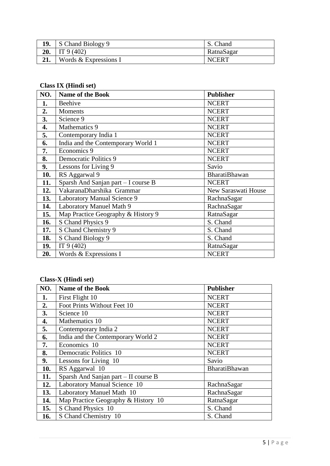| 19. | S Chand Biology 9       | . Chand      |
|-----|-------------------------|--------------|
| 20. | $\Box$ IT 9 (402)       | RatnaSagar   |
|     | Words $&$ Expressions I | <b>NCERT</b> |

# **Class IX (Hindi set)**

| NO. | <b>Name of the Book</b>             | <b>Publisher</b>     |
|-----|-------------------------------------|----------------------|
| 1.  | Beehive                             | <b>NCERT</b>         |
| 2.  | <b>Moments</b>                      | <b>NCERT</b>         |
| 3.  | Science 9                           | <b>NCERT</b>         |
| 4.  | Mathematics 9                       | <b>NCERT</b>         |
| 5.  | Contemporary India 1                | <b>NCERT</b>         |
| 6.  | India and the Contemporary World 1  | <b>NCERT</b>         |
| 7.  | Economics 9                         | <b>NCERT</b>         |
| 8.  | <b>Democratic Politics 9</b>        | <b>NCERT</b>         |
| 9.  | Lessons for Living 9                | Savio                |
| 10. | RS Aggarwal 9                       | <b>BharatiBhawan</b> |
| 11. | Sparsh And Sanjan part - I course B | <b>NCERT</b>         |
| 12. | VakaranaDharshika Grammar           | New Saraswati House  |
| 13. | Laboratory Manual Science 9         | RachnaSagar          |
| 14. | Laboratory Manuel Math 9            | RachnaSagar          |
| 15. | Map Practice Geography & History 9  | RatnaSagar           |
| 16. | S Chand Physics 9                   | S. Chand             |
| 17. | S Chand Chemistry 9                 | S. Chand             |
| 18. | S Chand Biology 9                   | S. Chand             |
| 19. | IT $9(402)$                         | RatnaSagar           |
| 20. | Words & Expressions I               | <b>NCERT</b>         |

# **Class-X (Hindi set)**

| NO. | <b>Name of the Book</b>              | <b>Publisher</b>     |
|-----|--------------------------------------|----------------------|
| 1.  | First Flight 10                      | <b>NCERT</b>         |
| 2.  | Foot Prints Without Feet 10          | <b>NCERT</b>         |
| 3.  | Science 10                           | <b>NCERT</b>         |
| 4.  | Mathematics 10                       | <b>NCERT</b>         |
| 5.  | Contemporary India 2                 | <b>NCERT</b>         |
| 6.  | India and the Contemporary World 2   | <b>NCERT</b>         |
| 7.  | Economics 10                         | <b>NCERT</b>         |
| 8.  | <b>Democratic Politics 10</b>        | <b>NCERT</b>         |
| 9.  | Lessons for Living 10                | Savio                |
| 10. | RS Aggarwal 10                       | <b>BharatiBhawan</b> |
| 11. | Sparsh And Sanjan part - II course B |                      |
| 12. | Laboratory Manual Science 10         | RachnaSagar          |
| 13. | Laboratory Manuel Math 10            | RachnaSagar          |
| 14. | Map Practice Geography & History 10  | RatnaSagar           |
| 15. | S Chand Physics 10                   | S. Chand             |
| 16. | S Chand Chemistry 10                 | S. Chand             |